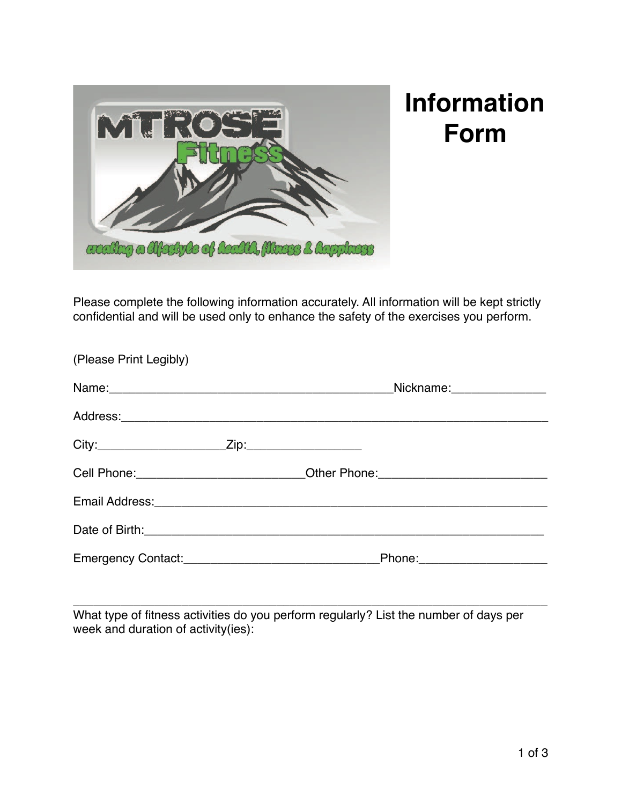

## **Information Form**

Please complete the following information accurately. All information will be kept strictly confidential and will be used only to enhance the safety of the exercises you perform.

| (Please Print Legibly) |                                                                                                                                                                                                                                     |                              |
|------------------------|-------------------------------------------------------------------------------------------------------------------------------------------------------------------------------------------------------------------------------------|------------------------------|
|                        |                                                                                                                                                                                                                                     | Nickname: Mickname: Mickname |
|                        |                                                                                                                                                                                                                                     |                              |
|                        |                                                                                                                                                                                                                                     |                              |
|                        | Cell Phone: __________________________Other Phone: _____________________________                                                                                                                                                    |                              |
|                        | Email Address: <u>Communications</u> Contract and Contract Contract Contract Contract Contract Contract Contract Contract Contract Contract Contract Contract Contract Contract Contract Contract Contract Contract Contract Contra |                              |
|                        |                                                                                                                                                                                                                                     |                              |
|                        |                                                                                                                                                                                                                                     |                              |

\_\_\_\_\_\_\_\_\_\_\_\_\_\_\_\_\_\_\_\_\_\_\_\_\_\_\_\_\_\_\_\_\_\_\_\_\_\_\_\_\_\_\_\_\_\_\_\_\_\_\_\_\_\_\_\_\_\_\_\_\_\_\_\_\_\_\_\_\_\_ What type of fitness activities do you perform regularly? List the number of days per week and duration of activity(ies):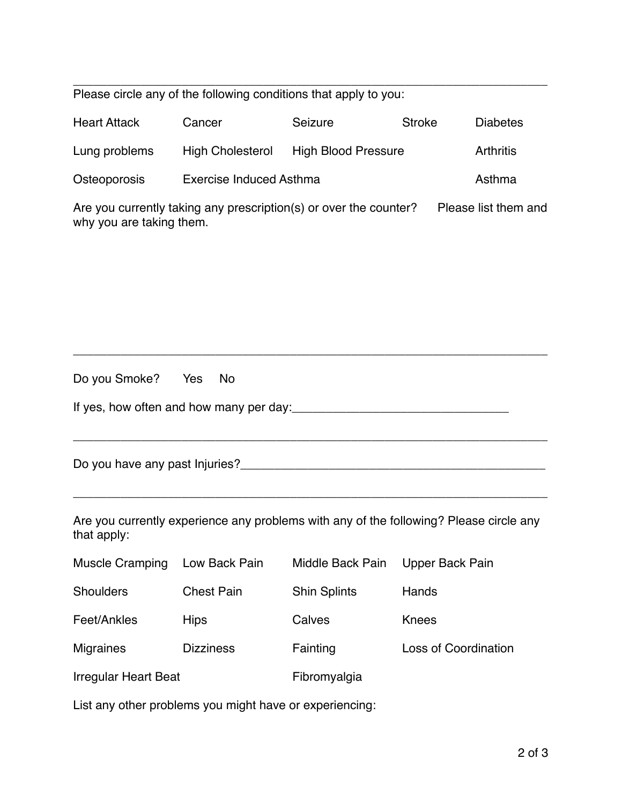\_\_\_\_\_\_\_\_\_\_\_\_\_\_\_\_\_\_\_\_\_\_\_\_\_\_\_\_\_\_\_\_\_\_\_\_\_\_\_\_\_\_\_\_\_\_\_\_\_\_\_\_\_\_\_\_\_\_\_\_\_\_\_\_\_\_\_\_\_\_ Please circle any of the following conditions that apply to you:

| <b>Heart Attack</b>                                               | Cancer                         | Seizure                    | <b>Stroke</b> | <b>Diabetes</b>  |
|-------------------------------------------------------------------|--------------------------------|----------------------------|---------------|------------------|
| Lung problems                                                     | <b>High Cholesterol</b>        | <b>High Blood Pressure</b> |               | <b>Arthritis</b> |
| Osteoporosis                                                      | <b>Exercise Induced Asthma</b> |                            |               | Asthma           |
| Are you currently taking any prescription(s) or over the counter? |                                | Please list them and       |               |                  |

why you are taking them.

| Do you Smoke? Yes No                    |  |
|-----------------------------------------|--|
| If yes, how often and how many per day: |  |

 $\_$  , and the set of the set of the set of the set of the set of the set of the set of the set of the set of the set of the set of the set of the set of the set of the set of the set of the set of the set of the set of th

\_\_\_\_\_\_\_\_\_\_\_\_\_\_\_\_\_\_\_\_\_\_\_\_\_\_\_\_\_\_\_\_\_\_\_\_\_\_\_\_\_\_\_\_\_\_\_\_\_\_\_\_\_\_\_\_\_\_\_\_\_\_\_\_\_\_\_\_\_\_

Do you have any past Injuries?\_\_\_\_\_\_\_\_\_\_\_\_\_\_\_\_\_\_\_\_\_\_\_\_\_\_\_\_\_\_\_\_\_\_\_\_\_\_\_\_\_\_\_\_\_

Are you currently experience any problems with any of the following? Please circle any that apply:

\_\_\_\_\_\_\_\_\_\_\_\_\_\_\_\_\_\_\_\_\_\_\_\_\_\_\_\_\_\_\_\_\_\_\_\_\_\_\_\_\_\_\_\_\_\_\_\_\_\_\_\_\_\_\_\_\_\_\_\_\_\_\_\_\_\_\_\_\_\_

| <b>Muscle Cramping</b>      | Low Back Pain     | Middle Back Pain    | Upper Back Pain             |
|-----------------------------|-------------------|---------------------|-----------------------------|
| <b>Shoulders</b>            | <b>Chest Pain</b> | <b>Shin Splints</b> | Hands                       |
| Feet/Ankles                 | <b>Hips</b>       | Calves              | Knees                       |
| <b>Migraines</b>            | <b>Dizziness</b>  | Fainting            | <b>Loss of Coordination</b> |
| <b>Irregular Heart Beat</b> |                   | Fibromyalgia        |                             |

List any other problems you might have or experiencing: